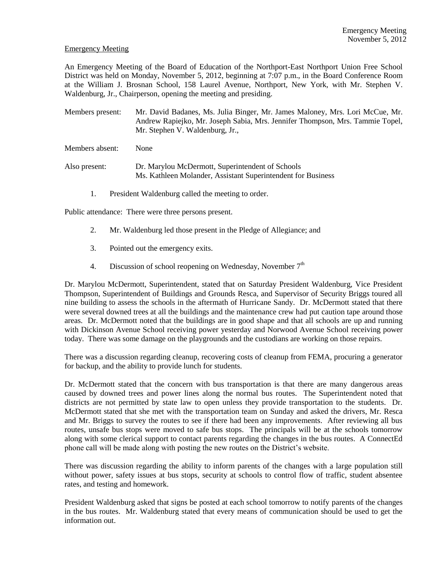## Emergency Meeting

An Emergency Meeting of the Board of Education of the Northport-East Northport Union Free School District was held on Monday, November 5, 2012, beginning at 7:07 p.m., in the Board Conference Room at the William J. Brosnan School, 158 Laurel Avenue, Northport, New York, with Mr. Stephen V. Waldenburg, Jr., Chairperson, opening the meeting and presiding.

Members present: Mr. David Badanes, Ms. Julia Binger, Mr. James Maloney, Mrs. Lori McCue, Mr. Andrew Rapiejko, Mr. Joseph Sabia, Mrs. Jennifer Thompson, Mrs. Tammie Topel, Mr. Stephen V. Waldenburg, Jr.,

Members absent: None

- Also present: Dr. Marylou McDermott, Superintendent of Schools Ms. Kathleen Molander, Assistant Superintendent for Business
	- 1. President Waldenburg called the meeting to order.

Public attendance: There were three persons present.

- 2. Mr. Waldenburg led those present in the Pledge of Allegiance; and
- 3. Pointed out the emergency exits.
- 4. Discussion of school reopening on Wednesday, November  $7<sup>th</sup>$

Dr. Marylou McDermott, Superintendent, stated that on Saturday President Waldenburg, Vice President Thompson, Superintendent of Buildings and Grounds Resca, and Supervisor of Security Briggs toured all nine building to assess the schools in the aftermath of Hurricane Sandy. Dr. McDermott stated that there were several downed trees at all the buildings and the maintenance crew had put caution tape around those areas. Dr. McDermott noted that the buildings are in good shape and that all schools are up and running with Dickinson Avenue School receiving power yesterday and Norwood Avenue School receiving power today. There was some damage on the playgrounds and the custodians are working on those repairs.

There was a discussion regarding cleanup, recovering costs of cleanup from FEMA, procuring a generator for backup, and the ability to provide lunch for students.

Dr. McDermott stated that the concern with bus transportation is that there are many dangerous areas caused by downed trees and power lines along the normal bus routes. The Superintendent noted that districts are not permitted by state law to open unless they provide transportation to the students. Dr. McDermott stated that she met with the transportation team on Sunday and asked the drivers, Mr. Resca and Mr. Briggs to survey the routes to see if there had been any improvements. After reviewing all bus routes, unsafe bus stops were moved to safe bus stops. The principals will be at the schools tomorrow along with some clerical support to contact parents regarding the changes in the bus routes. A ConnectEd phone call will be made along with posting the new routes on the District's website.

There was discussion regarding the ability to inform parents of the changes with a large population still without power, safety issues at bus stops, security at schools to control flow of traffic, student absentee rates, and testing and homework.

President Waldenburg asked that signs be posted at each school tomorrow to notify parents of the changes in the bus routes. Mr. Waldenburg stated that every means of communication should be used to get the information out.